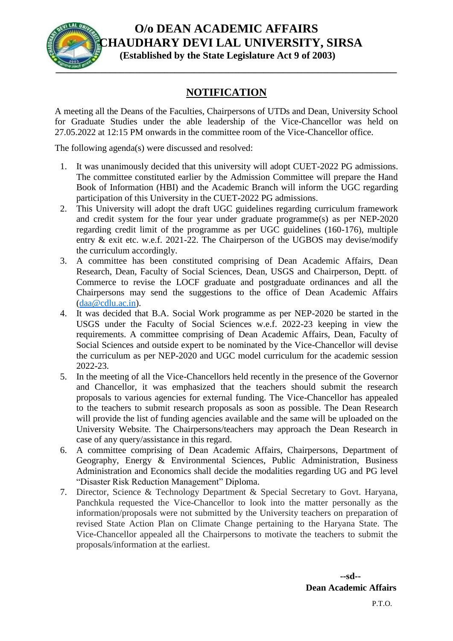

## **O/o DEAN ACADEMIC AFFAIRS CHAUDHARY DEVI LAL UNIVERSITY, SIRSA (Established by the State Legislature Act 9 of 2003)**

## **NOTIFICATION**

A meeting all the Deans of the Faculties, Chairpersons of UTDs and Dean, University School for Graduate Studies under the able leadership of the Vice-Chancellor was held on 27.05.2022 at 12:15 PM onwards in the committee room of the Vice-Chancellor office.

The following agenda(s) were discussed and resolved:

- 1. It was unanimously decided that this university will adopt CUET-2022 PG admissions. The committee constituted earlier by the Admission Committee will prepare the Hand Book of Information (HBI) and the Academic Branch will inform the UGC regarding participation of this University in the CUET-2022 PG admissions.
- 2. This University will adopt the draft UGC guidelines regarding curriculum framework and credit system for the four year under graduate programme(s) as per NEP-2020 regarding credit limit of the programme as per UGC guidelines (160-176), multiple entry & exit etc. w.e.f. 2021-22. The Chairperson of the UGBOS may devise/modify the curriculum accordingly.
- 3. A committee has been constituted comprising of Dean Academic Affairs, Dean Research, Dean, Faculty of Social Sciences, Dean, USGS and Chairperson, Deptt. of Commerce to revise the LOCF graduate and postgraduate ordinances and all the Chairpersons may send the suggestions to the office of Dean Academic Affairs [\(daa@cdlu.ac.in\)](mailto:daa@cdlu.ac.in).
- 4. It was decided that B.A. Social Work programme as per NEP-2020 be started in the USGS under the Faculty of Social Sciences w.e.f. 2022-23 keeping in view the requirements. A committee comprising of Dean Academic Affairs, Dean, Faculty of Social Sciences and outside expert to be nominated by the Vice-Chancellor will devise the curriculum as per NEP-2020 and UGC model curriculum for the academic session 2022-23.
- 5. In the meeting of all the Vice-Chancellors held recently in the presence of the Governor and Chancellor, it was emphasized that the teachers should submit the research proposals to various agencies for external funding. The Vice-Chancellor has appealed to the teachers to submit research proposals as soon as possible. The Dean Research will provide the list of funding agencies available and the same will be uploaded on the University Website. The Chairpersons/teachers may approach the Dean Research in case of any query/assistance in this regard.
- 6. A committee comprising of Dean Academic Affairs, Chairpersons, Department of Geography, Energy & Environmental Sciences, Public Administration, Business Administration and Economics shall decide the modalities regarding UG and PG level "Disaster Risk Reduction Management" Diploma.
- 7. Director, Science & Technology Department & Special Secretary to Govt. Haryana, Panchkula requested the Vice-Chancellor to look into the matter personally as the information/proposals were not submitted by the University teachers on preparation of revised State Action Plan on Climate Change pertaining to the Haryana State. The Vice-Chancellor appealed all the Chairpersons to motivate the teachers to submit the proposals/information at the earliest.